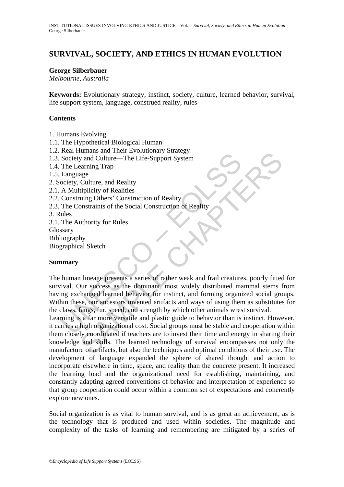# **SURVIVAL, SOCIETY, AND ETHICS IN HUMAN EVOLUTION**

#### **George Silberbauer**

*Melbourne, Australia* 

**Keywords:** Evolutionary strategy, instinct, society, culture, learned behavior, survival, life support system, language, construed reality, rules

#### **Contents**

1. Humans Evolving

- 1.1. The Hypothetical Biological Human
- 1.2. Real Humans and Their Evolutionary Strategy
- 1.3. Society and Culture—The Life-Support System
- 1.4. The Learning Trap
- 1.5. Language
- 2. Society, Culture, and Reality
- 2.1. A Multiplicity of Realities
- 2.2. Construing Others' Construction of Reality
- 2.3. The Constraints of the Social Construction of Reality

3. Rules

3.1. The Authority for Rules

- Glossary
- Bibliography

Biographical Sketch

### **Summary**

Note it will also continue that the strength of Reality<br>
Society and Culture—The Life-Support System<br>
The Learning Trap<br>
Language<br>
coiety, Culture, and Reality<br>
A Multiplicity of Realitis<br>
Construing Others' Construction o The human lineage presents a series of rather weak and frail creatures, poorly fitted for survival. Our success as the dominant, most widely distributed mammal stems from having exchanged learned behavior for instinct, and forming organized social groups. Within these, our ancestors invented artifacts and ways of using them as substitutes for the claws, fangs, fur, speed, and strength by which other animals wrest survival.

Analism and Their Exbandary Strategy<br>
and Culture—The Life-Support System<br>
age<br>
culture, and Reality<br>
culture, and Reality<br>
culture, and Reality<br>
tiplicity of Realities<br>
uing Others' Construction of Reality<br>
uthority for R Learning is a far more versatile and plastic guide to behavior than is instinct. However, it carries a high organizational cost. Social groups must be stable and cooperation within them closely coordinated if teachers are to invest their time and energy in sharing their knowledge and skills. The learned technology of survival encompasses not only the manufacture of artifacts, but also the techniques and optimal conditions of their use. The development of language expanded the sphere of shared thought and action to incorporate elsewhere in time, space, and reality than the concrete present. It increased the learning load and the organizational need for establishing, maintaining, and constantly adapting agreed conventions of behavior and interpretation of experience so that group cooperation could occur within a common set of expectations and coherently explore new ones.

Social organization is as vital to human survival, and is as great an achievement, as is the technology that is produced and used within societies. The magnitude and complexity of the tasks of learning and remembering are mitigated by a series of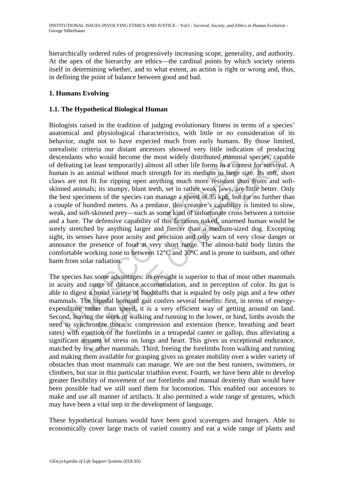hierarchically ordered rules of progressively increasing scope, generality, and authority. At the apex of the hierarchy are ethics—the cardinal points by which society orients itself in determining whether, and to what extent, an action is right or wrong and, thus, in defining the point of balance between good and bad.

# **1. Humans Evolving**

### **1.1. The Hypothetical Biological Human**

endants who would become the most widely distributed mamm<br>efeating (at least temporarily) almost all other life forms in a con<br>ann is an animal without much strength for its medium to large<br>ws are not fit for ripping open s who would become the most widely distributed mammal species, cap<br>g (at least temporarily) almost all other life forms in a contest for survive<br>a m animal without much strength for its medium to large size. Its soft, as<br>n Biologists raised in the tradition of judging evolutionary fitness in terms of a species' anatomical and physiological characteristics, with little or no consideration of its behavior, ought not to have expected much from early humans. By those limited, unrealistic criteria our distant ancestors showed very little indication of producing descendants who would become the most widely distributed mammal species, capable of defeating (at least temporarily) almost all other life forms in a contest for survival. A human is an animal without much strength for its medium to large size. Its soft, short claws are not fit for ripping open anything much more resistant than fruits and softskinned animals; its stumpy, blunt teeth, set in rather weak jaws, are little better. Only the best specimens of the species can manage a speed of 35 kph, but for no further than a couple of hundred meters. As a predator, this creature's capability is limited to slow, weak, and soft-skinned prey—such as some kind of unfortunate cross between a tortoise and a hare. The defensive capability of this fictitious naked, unarmed human would be sorely stretched by anything larger and fiercer than a medium-sized dog. Excepting sight, its senses have poor acuity and precision and only warn of very close danger or announce the presence of food at very short range. The almost-bald body limits the comfortable working zone to between 12°C and 30°C and is prone to sunburn, and other harm from solar radiation

The species has some advantages: its eyesight is superior to that of most other mammals in acuity and range of distance accommodation, and in perception of color. Its gut is able to digest a broad variety of foodstuffs that is equaled by only pigs and a few other mammals. The bipedal hominid gait confers several benefits: first, in terms of energyexpenditure rather than speed, it is a very efficient way of getting around on land. Second, leaving the work of walking and running to the lower, or hind, limbs avoids the need to synchronize thoracic compression and extension (hence, breathing and heart rates) with exertion of the forelimbs in a tetrapedal canter or gallop, thus alleviating a significant amount of stress on lungs and heart. This gives us exceptional endurance, matched by few other mammals. Third, freeing the forelimbs from walking and running and making them available for grasping gives us greater mobility over a wider variety of obstacles than most mammals can manage. We are not the best runners, swimmers, or climbers, but star in this particular triathlon event. Fourth, we have been able to develop greater flexibility of movement of our forelimbs and manual dexterity than would have been possible had we still used them for locomotion. This enabled our ancestors to make and use all manner of artifacts. It also permitted a wide range of gestures, which may have been a vital step in the development of language.

These hypothetical humans would have been good scavengers and foragers. Able to economically cover large tracts of varied country and eat a wide range of plants and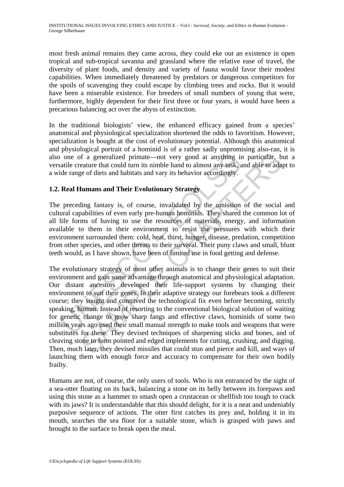most fresh animal remains they came across, they could eke out an existence in open tropical and sub-tropical savanna and grassland where the relative ease of travel, the diversity of plant foods, and density and variety of fauna would favor their modest capabilities. When immediately threatened by predators or dangerous competitors for the spoils of scavenging they could escape by climbing trees and rocks. But it would have been a miserable existence. For breeders of small numbers of young that were, furthermore, highly dependent for their first three or four years, it would have been a precarious balancing act over the abyss of extinction.

In the traditional biologists' view, the enhanced efficacy gained from a species' anatomical and physiological specialization shortened the odds to favoritism. However, specialization is bought at the cost of evolutionary potential. Although this anatomical and physiological portrait of a hominid is of a rather sadly unpromising also-ran, it is also one of a generalized primate—not very good at anything in particular, but a versatile creature that could turn its nimble hand to almost any task, and able to adapt to a wide range of diets and habitats and vary its behavior accordingly.

## **1.2. Real Humans and Their Evolutionary Strategy**

The preceding fantasy is, of course, invalidated by the omission of the social and cultural capabilities of even early pre-human hominids. They shared the common lot of all life forms of having to use the resources of materials, energy, and information available to them in their environment to resist the pressures with which their environment surrounded them: cold, heat, thirst, hunger, disease, predation, competition from other species, and other threats to their survival. Their puny claws and small, blunt teeth would, as I have shown, have been of limited use in food getting and defense.

one of a generalized primate—not very good at anything in<br>atile creature that could turn its nimble hand to almost any task, a<br>de range of diets and habitats and vary its behavior accordingly.<br>**Real Humans and Their Evolut** of a generalized primate—not very good at anything in particular, between that could turn its nimble hand to almost any task, and able to adapted the search that could turn its imble hand to almost any task, and able to ad The evolutionary strategy of most other animals is to change their genes to suit their environment and gain some advantage through anatomical and physiological adaptation. Our distant ancestors developed their life-support systems by changing their environment to suit their genes. In their adaptive strategy our forebears took a different course; they sought and contrived the technological fix even before becoming, strictly speaking, human. Instead of resorting to the conventional biological solution of waiting for genetic change to grow sharp fangs and effective claws, hominids of some two million years ago used their small manual strength to make tools and weapons that were substitutes for these. They devised techniques of sharpening sticks and bones, and of cleaving stone to form pointed and edged implements for cutting, crushing, and digging. Then, much later, they devised missiles that could stun and pierce and kill, and ways of launching them with enough force and accuracy to compensate for their own bodily frailty.

Humans are not, of course, the only users of tools. Who is not entranced by the sight of a sea-otter floating on its back, balancing a stone on its belly between its forepaws and using this stone as a hammer to smash open a crustacean or shellfish too tough to crack with its jaws? It is understandable that this should delight, for it is a neat and undeniably purposive sequence of actions. The otter first catches its prey and, holding it in its mouth, searches the sea floor for a suitable stone, which is grasped with paws and brought to the surface to break open the meal.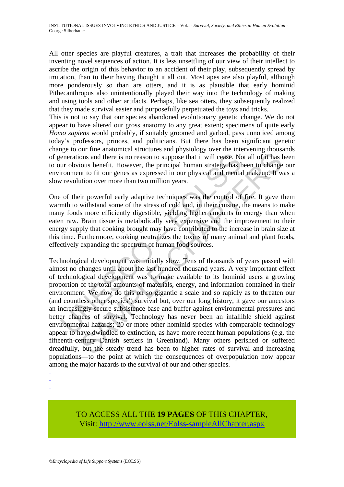All otter species are playful creatures, a trait that increases the probability of their inventing novel sequences of action. It is less unsettling of our view of their intellect to ascribe the origin of this behavior to an accident of their play, subsequently spread by imitation, than to their having thought it all out. Most apes are also playful, although more ponderously so than are otters, and it is as plausible that early hominid Pithecanthropus also unintentionally played their way into the technology of making and using tools and other artifacts. Perhaps, like sea otters, they subsequently realized that they made survival easier and purposefully perpetuated the toys and tricks.

This is not to say that our species abandoned evolutionary genetic change. We do not appear to have altered our gross anatomy to any great extent; specimens of quite early *Homo sapiens* would probably, if suitably groomed and garbed, pass unnoticed among today's professors, princes, and politicians. But there has been significant genetic change to our fine anatomical structures and physiology over the intervening thousands of generations and there is no reason to suppose that it will cease. Not all of it has been to our obvious benefit. However, the principal human strategy has been to change our environment to fit our genes as expressed in our physical and mental makeup. It was a slow revolution over more than two million years.

One of their powerful early adaptive techniques was the control of fire. It gave them warmth to withstand some of the stress of cold and, in their cuisine, the means to make many foods more efficiently digestible, yielding higher amounts to energy than when eaten raw. Brain tissue is metabolically very expensive and the improvement to their energy supply that cooking brought may have contributed to the increase in brain size at this time. Furthermore, cooking neutralizes the toxins of many animal and plant foods, effectively expanding the spectrum of human food sources.

enerations and there is no reason to suppose that it will cease. No<br>ur obvious benefit. However, the principal human strategy has t<br>ironment to fit our genes as expressed in our physical and menta<br>revolution over more than nons and there is no reason to suppose that it will cease. Not all of it has loous benefit. However, the principal human strategy has been to change to to fit our genes as expressed in our physical and mental makeup. It wi Technological development was initially slow. Tens of thousands of years passed with almost no changes until about the last hundred thousand years. A very important effect of technological development was to make available to its hominid users a growing proportion of the total amounts of materials, energy, and information contained in their environment. We now do this on so gigantic a scale and so rapidly as to threaten our (and countless other species') survival but, over our long history, it gave our ancestors an increasingly secure subsistence base and buffer against environmental pressures and better chances of survival. Technology has never been an infallible shield against environmental hazards; 20 or more other hominid species with comparable technology appear to have dwindled to extinction, as have more recent human populations (e.g. the fifteenth-century Danish settlers in Greenland). Many others perished or suffered dreadfully, but the steady trend has been to higher rates of survival and increasing populations—to the point at which the consequences of overpopulation now appear among the major hazards to the survival of our and other species.

-

-

-

# TO ACCESS ALL THE **19 PAGES** OF THIS CHAPTER, Visit[: http://www.eolss.net/Eolss-sampleAllChapter.aspx](https://www.eolss.net/ebooklib/sc_cart.aspx?File=E1-37-01-01)